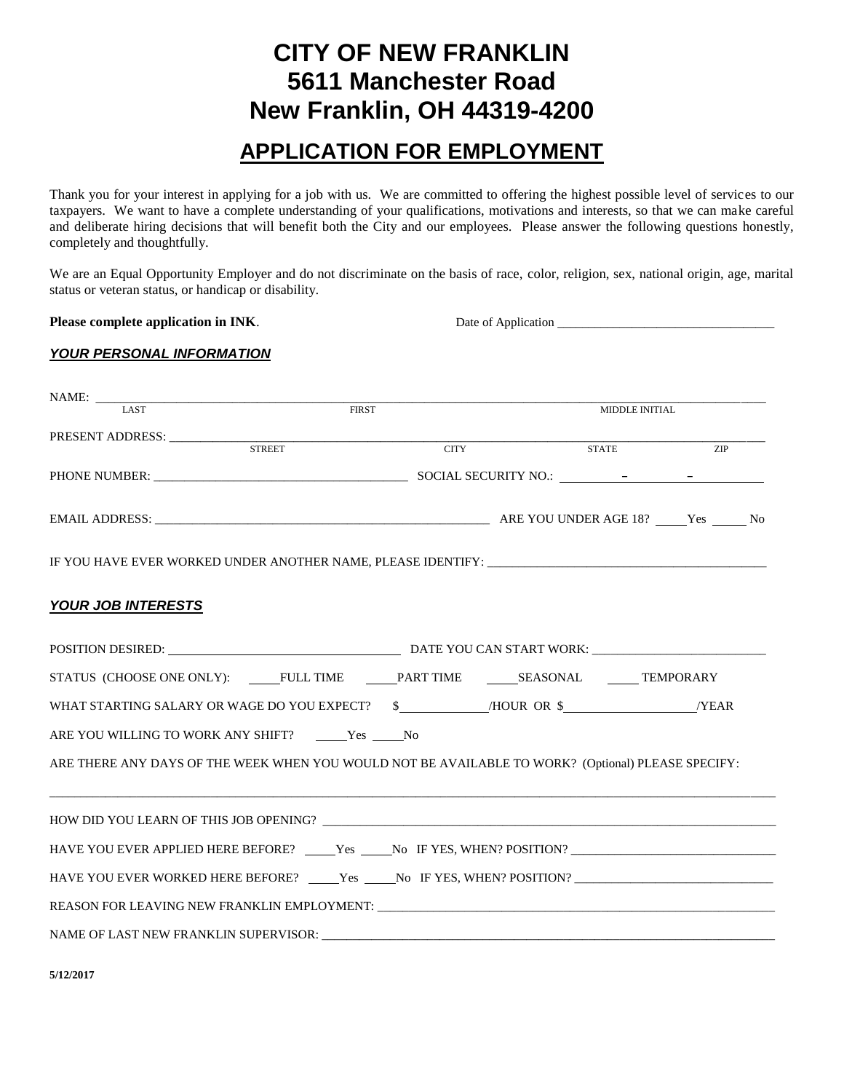# **CITY OF NEW FRANKLIN 5611 Manchester Road New Franklin, OH 44319-4200**

## **APPLICATION FOR EMPLOYMENT**

Thank you for your interest in applying for a job with us. We are committed to offering the highest possible level of services to our taxpayers. We want to have a complete understanding of your qualifications, motivations and interests, so that we can make careful and deliberate hiring decisions that will benefit both the City and our employees. Please answer the following questions honestly, completely and thoughtfully.

We are an Equal Opportunity Employer and do not discriminate on the basis of race, color, religion, sex, national origin, age, marital status or veteran status, or handicap or disability.

**Please complete application in INK.** Date of Application \_\_\_\_\_\_\_\_\_\_\_\_\_\_\_\_\_\_\_\_\_\_\_\_

#### *YOUR PERSONAL INFORMATION*

| $\begin{tabular}{c} \bf{NAME:} \end{tabular}$                                                        |              |  |                       |            |  |
|------------------------------------------------------------------------------------------------------|--------------|--|-----------------------|------------|--|
|                                                                                                      | <b>FIRST</b> |  | <b>MIDDLE INITIAL</b> |            |  |
|                                                                                                      |              |  |                       |            |  |
|                                                                                                      |              |  | <b>STATE</b>          | <b>ZIP</b> |  |
|                                                                                                      |              |  |                       |            |  |
|                                                                                                      |              |  |                       |            |  |
| IF YOU HAVE EVER WORKED UNDER ANOTHER NAME, PLEASE IDENTIFY: ____________________                    |              |  |                       |            |  |
| <b>YOUR JOB INTERESTS</b>                                                                            |              |  |                       |            |  |
|                                                                                                      |              |  |                       |            |  |
| STATUS (CHOOSE ONE ONLY): ______FULL TIME ________PART TIME ________SEASONAL _______TEMPORARY        |              |  |                       |            |  |
|                                                                                                      |              |  |                       |            |  |
| ARE YOU WILLING TO WORK ANY SHIFT? ______Yes _____No                                                 |              |  |                       |            |  |
| ARE THERE ANY DAYS OF THE WEEK WHEN YOU WOULD NOT BE AVAILABLE TO WORK? (Optional) PLEASE SPECIFY:   |              |  |                       |            |  |
|                                                                                                      |              |  |                       |            |  |
| HAVE YOU EVER APPLIED HERE BEFORE? _____Yes _____No IF YES, WHEN? POSITION? ________________________ |              |  |                       |            |  |
| HAVE YOU EVER WORKED HERE BEFORE? _____Yes _____No IF YES, WHEN? POSITION? _________________________ |              |  |                       |            |  |
|                                                                                                      |              |  |                       |            |  |
|                                                                                                      |              |  |                       |            |  |

**5/12/2017**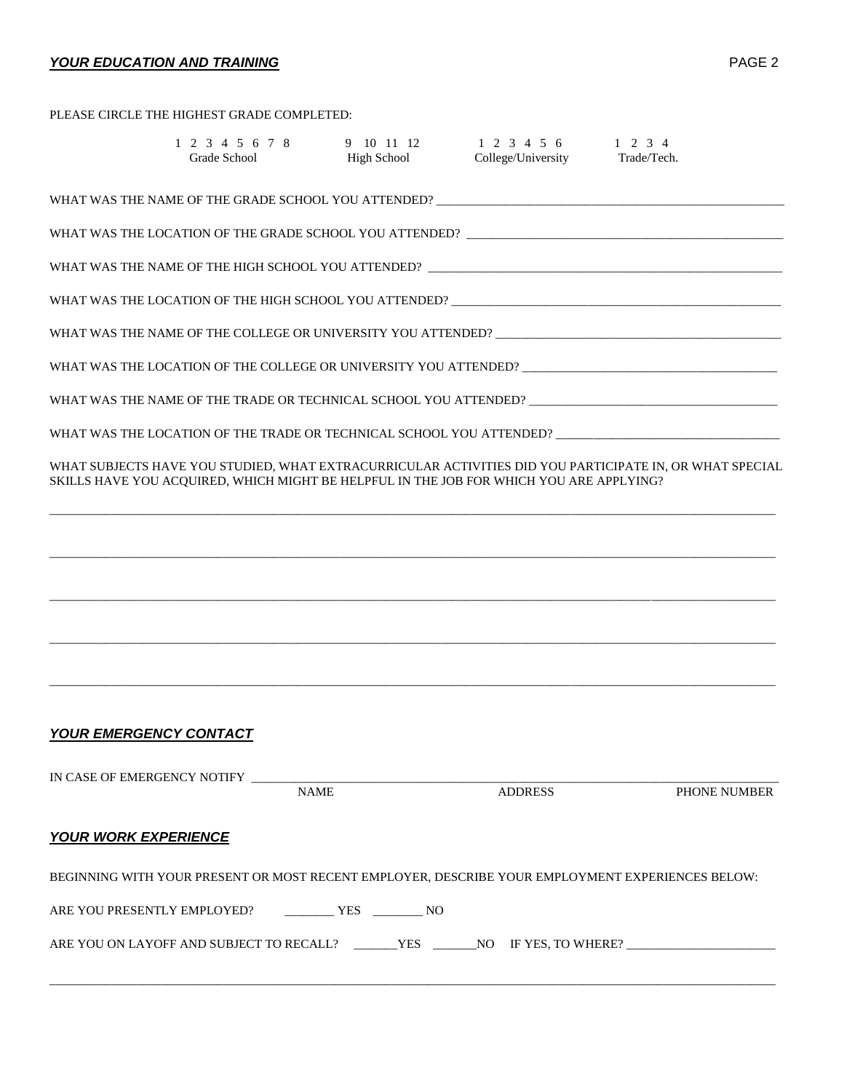## *YOUR EDUCATION AND TRAINING* PAGE 2

|                                   | PLEASE CIRCLE THE HIGHEST GRADE COMPLETED:                  |                    |                                                                                         |                                                                                                         |
|-----------------------------------|-------------------------------------------------------------|--------------------|-----------------------------------------------------------------------------------------|---------------------------------------------------------------------------------------------------------|
|                                   | Grade School                                                | <b>High School</b> | 1 2 3 4 5 6 7 8 9 10 11 12 1 2 3 4 5 6 1 2 3 4<br>College/University Trade/Tech.        |                                                                                                         |
|                                   |                                                             |                    | WHAT WAS THE NAME OF THE GRADE SCHOOL YOU ATTENDED? _____________________________       |                                                                                                         |
|                                   |                                                             |                    |                                                                                         |                                                                                                         |
|                                   |                                                             |                    |                                                                                         |                                                                                                         |
|                                   |                                                             |                    |                                                                                         |                                                                                                         |
|                                   |                                                             |                    |                                                                                         |                                                                                                         |
|                                   |                                                             |                    |                                                                                         | WHAT WAS THE LOCATION OF THE COLLEGE OR UNIVERSITY YOU ATTENDED? __________________________________     |
|                                   |                                                             |                    |                                                                                         | WHAT WAS THE NAME OF THE TRADE OR TECHNICAL SCHOOL YOU ATTENDED? __________________________________     |
|                                   |                                                             |                    |                                                                                         | WHAT WAS THE LOCATION OF THE TRADE OR TECHNICAL SCHOOL YOU ATTENDED? ______________________________     |
|                                   |                                                             |                    | SKILLS HAVE YOU ACQUIRED, WHICH MIGHT BE HELPFUL IN THE JOB FOR WHICH YOU ARE APPLYING? | WHAT SUBJECTS HAVE YOU STUDIED, WHAT EXTRACURRICULAR ACTIVITIES DID YOU PARTICIPATE IN, OR WHAT SPECIAL |
|                                   |                                                             |                    |                                                                                         |                                                                                                         |
|                                   |                                                             |                    |                                                                                         |                                                                                                         |
|                                   |                                                             |                    |                                                                                         |                                                                                                         |
|                                   |                                                             |                    |                                                                                         |                                                                                                         |
|                                   |                                                             |                    |                                                                                         |                                                                                                         |
| <b>YOUR EMERGENCY CONTACT</b>     |                                                             |                    |                                                                                         |                                                                                                         |
| IN CASE OF EMERGENCY NOTIFY _____ |                                                             | <b>NAME</b>        | <b>ADDRESS</b>                                                                          | PHONE NUMBER                                                                                            |
| <b>YOUR WORK EXPERIENCE</b>       |                                                             |                    |                                                                                         |                                                                                                         |
|                                   |                                                             |                    |                                                                                         | BEGINNING WITH YOUR PRESENT OR MOST RECENT EMPLOYER, DESCRIBE YOUR EMPLOYMENT EXPERIENCES BELOW:        |
|                                   | ARE YOU PRESENTLY EMPLOYED? ____________ YES ___________ NO |                    |                                                                                         |                                                                                                         |
|                                   |                                                             |                    |                                                                                         |                                                                                                         |

ARE YOU ON LAYOFF AND SUBJECT TO RECALL? \_\_\_\_\_\_\_YES \_\_\_\_\_\_NO IF YES, TO WHERE? \_\_\_\_\_\_\_\_\_\_\_\_\_\_\_\_\_\_\_\_

\_\_\_\_\_\_\_\_\_\_\_\_\_\_\_\_\_\_\_\_\_\_\_\_\_\_\_\_\_\_\_\_\_\_\_\_\_\_\_\_\_\_\_\_\_\_\_\_\_\_\_\_\_\_\_\_\_\_\_\_\_\_\_\_\_\_\_\_\_\_\_\_\_\_\_\_\_\_\_\_\_\_\_\_\_\_\_\_\_\_\_\_\_\_\_\_\_\_\_\_\_\_\_\_\_\_\_\_\_\_\_\_\_\_\_\_\_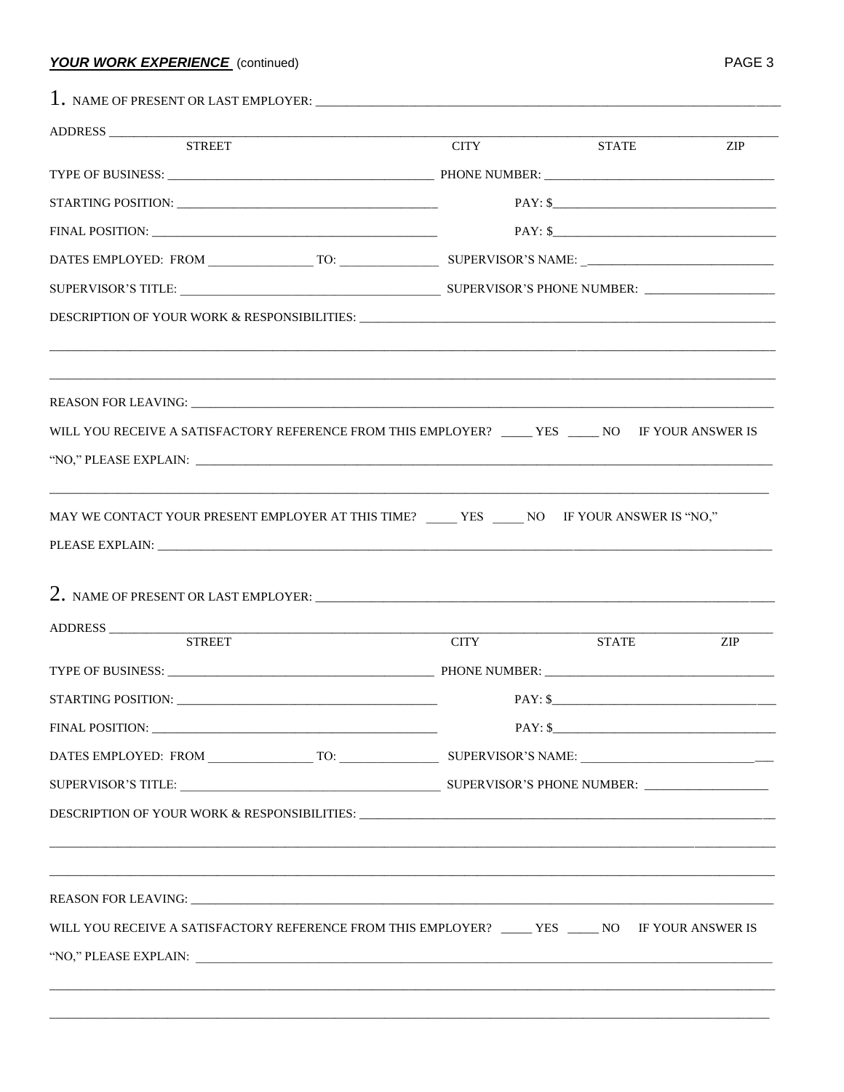## **YOUR WORK EXPERIENCE** (continued)

| ADDRESS                                                                                            |             |              |            |
|----------------------------------------------------------------------------------------------------|-------------|--------------|------------|
| <b>STREET</b>                                                                                      | <b>CITY</b> | <b>STATE</b> | <b>ZIP</b> |
|                                                                                                    |             |              |            |
|                                                                                                    |             | $PAY:$ \$    |            |
|                                                                                                    |             | $PAY:$ \$    |            |
|                                                                                                    |             |              |            |
|                                                                                                    |             |              |            |
|                                                                                                    |             |              |            |
|                                                                                                    |             |              |            |
|                                                                                                    |             |              |            |
|                                                                                                    |             |              |            |
| WILL YOU RECEIVE A SATISFACTORY REFERENCE FROM THIS EMPLOYER? _____ YES _____ NO IF YOUR ANSWER IS |             |              |            |
|                                                                                                    |             |              |            |
| MAY WE CONTACT YOUR PRESENT EMPLOYER AT THIS TIME? _____ YES _____ NO IF YOUR ANSWER IS "NO,"      |             |              |            |
|                                                                                                    |             |              |            |
|                                                                                                    |             |              |            |
|                                                                                                    |             |              |            |
| ADDRESS                                                                                            |             |              |            |
| <u> 1989 - John Stein, Amerikaansk politiker (</u><br><b>STREET</b>                                | <b>CITY</b> | <b>STATE</b> | ZIP        |
|                                                                                                    |             |              |            |
| <b>STARTING POSITION:</b>                                                                          | PAY: \$     |              |            |
|                                                                                                    |             | $PAY:$ \$    |            |
|                                                                                                    |             |              |            |
|                                                                                                    |             |              |            |
|                                                                                                    |             |              |            |
|                                                                                                    |             |              |            |
|                                                                                                    |             |              |            |
|                                                                                                    |             |              |            |
| WILL YOU RECEIVE A SATISFACTORY REFERENCE FROM THIS EMPLOYER? _____ YES _____ NO IF YOUR ANSWER IS |             |              |            |
|                                                                                                    |             |              |            |
|                                                                                                    |             |              |            |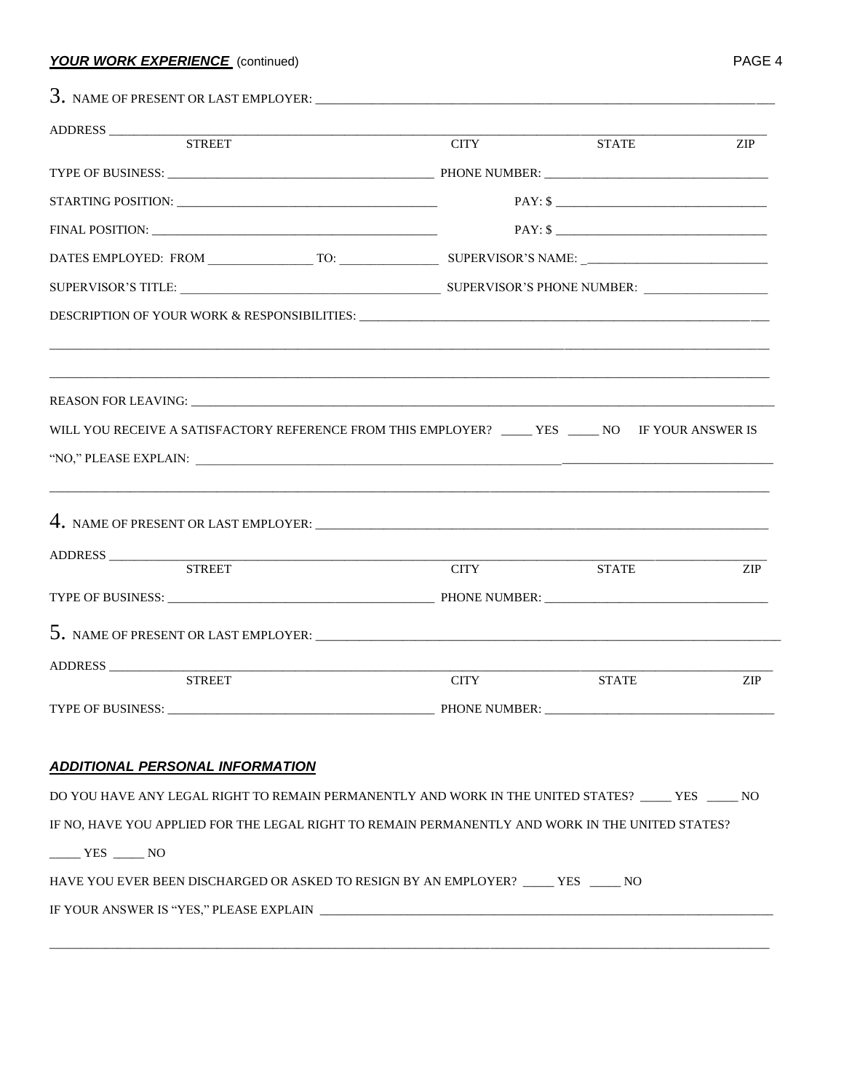#### **YOUR WORK EXPERIENCE** (continued)

|                                                                                                     | <b>CITY</b> | <b>STATE</b> | <b>ZIP</b>                  |
|-----------------------------------------------------------------------------------------------------|-------------|--------------|-----------------------------|
|                                                                                                     |             |              |                             |
|                                                                                                     |             | $PAY:$ \$    |                             |
|                                                                                                     |             |              |                             |
|                                                                                                     |             |              |                             |
|                                                                                                     |             |              |                             |
|                                                                                                     |             |              |                             |
|                                                                                                     |             |              |                             |
|                                                                                                     |             |              |                             |
|                                                                                                     |             |              |                             |
| WILL YOU RECEIVE A SATISFACTORY REFERENCE FROM THIS EMPLOYER? _____ YES _____ NO IF YOUR ANSWER IS  |             |              |                             |
|                                                                                                     |             |              |                             |
| ADDRESS<br><b>STREET</b>                                                                            | <b>CITY</b> | <b>STATE</b> | $\ensuremath{\mathrm{ZIP}}$ |
|                                                                                                     |             |              |                             |
|                                                                                                     |             |              |                             |
| <b>STREET</b>                                                                                       | <b>CITY</b> | <b>STATE</b> | <b>ZIP</b>                  |
|                                                                                                     |             |              |                             |
|                                                                                                     |             |              |                             |
|                                                                                                     |             |              |                             |
| <b>ADDITIONAL PERSONAL INFORMATION</b>                                                              |             |              |                             |
| DO YOU HAVE ANY LEGAL RIGHT TO REMAIN PERMANENTLY AND WORK IN THE UNITED STATES? _____ YES _____ NO |             |              |                             |

 $YES$  NO

| HAVE YOU EVER BEEN DISCHARGED OR ASKED TO RESIGN BY AN EMPLOYER? | NO. |
|------------------------------------------------------------------|-----|
|------------------------------------------------------------------|-----|

IF YOUR ANSWER IS "YES," PLEASE EXPLAIN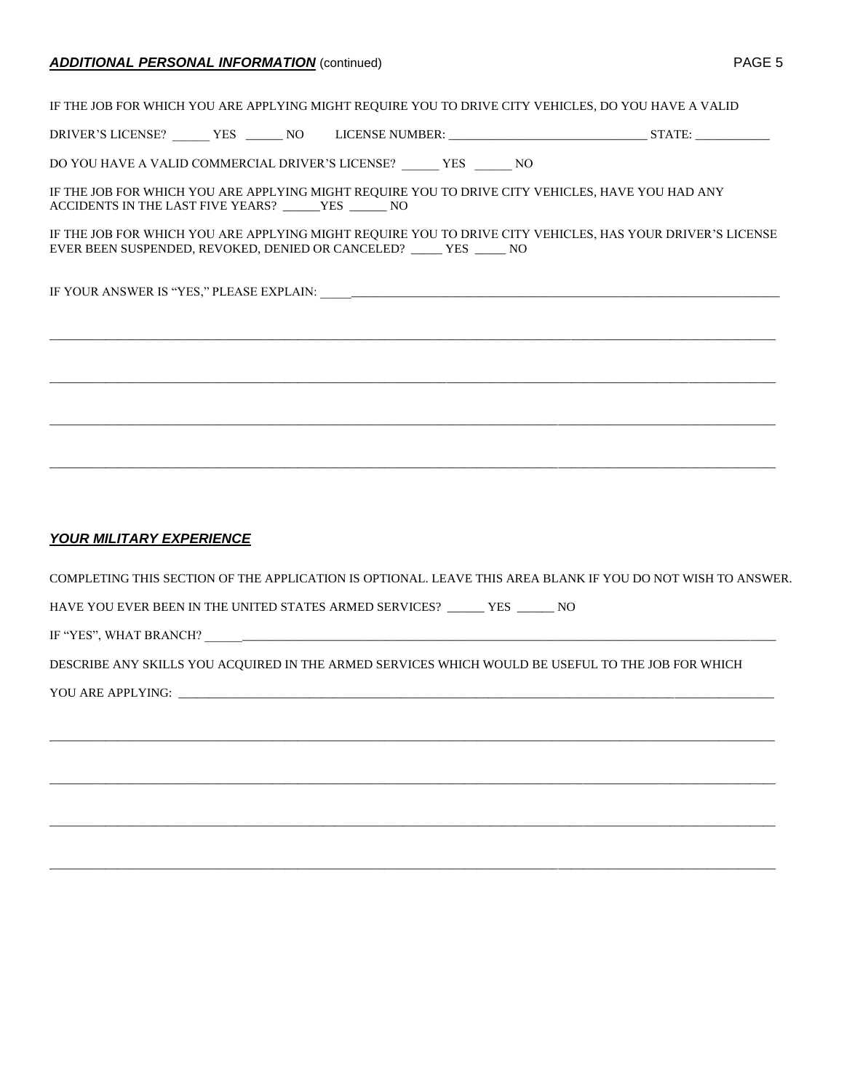#### **ADDITIONAL PERSONAL INFORMATION** (continued)

| Δ. | Ξ |  |  |
|----|---|--|--|
|----|---|--|--|

IF THE JOB FOR WHICH YOU ARE APPLYING MIGHT REQUIRE YOU TO DRIVE CITY VEHICLES, DO YOU HAVE A VALID DRIVER'S LICENSE? \_\_\_\_\_\_ YES \_\_\_\_\_\_ NO LICENSE NUMBER: \_\_\_\_\_\_\_\_\_\_\_\_\_\_\_\_\_\_\_\_\_\_\_\_\_\_\_\_\_\_\_\_ STATE: \_\_\_\_\_\_\_\_\_\_\_\_ DO YOU HAVE A VALID COMMERCIAL DRIVER'S LICENSE? \_\_\_\_\_\_ YES \_\_\_\_\_\_ NO IF THE JOB FOR WHICH YOU ARE APPLYING MIGHT REQUIRE YOU TO DRIVE CITY VEHICLES, HAVE YOU HAD ANY ACCIDENTS IN THE LAST FIVE YEARS? \_\_\_\_\_\_YES \_\_\_\_\_\_ NO IF THE JOB FOR WHICH YOU ARE APPLYING MIGHT REQUIRE YOU TO DRIVE CITY VEHICLES, HAS YOUR DRIVER'S LICENSE EVER BEEN SUSPENDED, REVOKED, DENIED OR CANCELED? \_\_\_\_\_ YES \_\_\_\_\_ NO IF YOUR ANSWER IS "YES," PLEASE EXPLAIN: \_\_\_\_\_\_\_\_\_\_\_\_\_\_\_\_\_\_\_\_\_\_\_\_\_\_\_\_\_\_\_\_\_\_\_\_\_\_\_\_\_\_\_\_\_\_\_\_\_\_\_\_\_\_\_\_\_\_\_\_\_\_\_\_\_\_\_\_\_\_\_\_\_\_ \_\_\_\_\_\_\_\_\_\_\_\_\_\_\_\_\_\_\_\_\_\_\_\_\_\_\_\_\_\_\_\_\_\_\_\_\_\_\_\_\_\_\_\_\_\_\_\_\_\_\_\_\_\_\_\_\_\_\_\_\_\_\_\_\_\_\_\_\_\_\_\_\_\_\_\_\_\_\_\_\_\_\_\_\_\_\_\_\_\_\_\_\_\_\_\_\_\_\_\_\_\_\_\_\_\_\_\_\_\_\_\_\_\_\_\_\_ \_\_\_\_\_\_\_\_\_\_\_\_\_\_\_\_\_\_\_\_\_\_\_\_\_\_\_\_\_\_\_\_\_\_\_\_\_\_\_\_\_\_\_\_\_\_\_\_\_\_\_\_\_\_\_\_\_\_\_\_\_\_\_\_\_\_\_\_\_\_\_\_\_\_\_\_\_\_\_\_\_\_\_\_\_\_\_\_\_\_\_\_\_\_\_\_\_\_\_\_\_\_\_\_\_\_\_\_\_\_\_\_\_\_\_\_\_ \_\_\_\_\_\_\_\_\_\_\_\_\_\_\_\_\_\_\_\_\_\_\_\_\_\_\_\_\_\_\_\_\_\_\_\_\_\_\_\_\_\_\_\_\_\_\_\_\_\_\_\_\_\_\_\_\_\_\_\_\_\_\_\_\_\_\_\_\_\_\_\_\_\_\_\_\_\_\_\_\_\_\_\_\_\_\_\_\_\_\_\_\_\_\_\_\_\_\_\_\_\_\_\_\_\_\_\_\_\_\_\_\_\_\_\_\_ \_\_\_\_\_\_\_\_\_\_\_\_\_\_\_\_\_\_\_\_\_\_\_\_\_\_\_\_\_\_\_\_\_\_\_\_\_\_\_\_\_\_\_\_\_\_\_\_\_\_\_\_\_\_\_\_\_\_\_\_\_\_\_\_\_\_\_\_\_\_\_\_\_\_\_\_\_\_\_\_\_\_\_\_\_\_\_\_\_\_\_\_\_\_\_\_\_\_\_\_\_\_\_\_\_\_\_\_\_\_\_\_\_\_\_\_\_ *YOUR MILITARY EXPERIENCE* COMPLETING THIS SECTION OF THE APPLICATION IS OPTIONAL. LEAVE THIS AREA BLANK IF YOU DO NOT WISH TO ANSWER. HAVE YOU EVER BEEN IN THE UNITED STATES ARMED SERVICES? \_\_\_\_\_\_ YES \_\_\_\_\_\_ NO

IF "YES", WHAT BRANCH?

DESCRIBE ANY SKILLS YOU ACQUIRED IN THE ARMED SERVICES WHICH WOULD BE USEFUL TO THE JOB FOR WHICH

\_\_\_\_\_\_\_\_\_\_\_\_\_\_\_\_\_\_\_\_\_\_\_\_\_\_\_\_\_\_\_\_\_\_\_\_\_\_\_\_\_\_\_\_\_\_\_\_\_\_\_\_\_\_\_\_\_\_\_\_\_\_\_\_\_\_\_\_\_\_\_\_\_\_\_\_\_\_\_\_\_\_\_\_\_\_\_\_\_\_\_\_\_\_\_\_\_\_\_\_\_\_\_\_\_\_\_\_\_\_\_\_\_\_\_\_\_

\_\_\_\_\_\_\_\_\_\_\_\_\_\_\_\_\_\_\_\_\_\_\_\_\_\_\_\_\_\_\_\_\_\_\_\_\_\_\_\_\_\_\_\_\_\_\_\_\_\_\_\_\_\_\_\_\_\_\_\_\_\_\_\_\_\_\_\_\_\_\_\_\_\_\_\_\_\_\_\_\_\_\_\_\_\_\_\_\_\_\_\_\_\_\_\_\_\_\_\_\_\_\_\_\_\_\_\_\_\_\_\_\_\_\_\_\_

\_\_\_\_\_\_\_\_\_\_\_\_\_\_\_\_\_\_\_\_\_\_\_\_\_\_\_\_\_\_\_\_\_\_\_\_\_\_\_\_\_\_\_\_\_\_\_\_\_\_\_\_\_\_\_\_\_\_\_\_\_\_\_\_\_\_\_\_\_\_\_\_\_\_\_\_\_\_\_\_\_\_\_\_\_\_\_\_\_\_\_\_\_\_\_\_\_\_\_\_\_\_\_\_\_\_\_\_\_\_\_\_\_\_\_\_\_

\_\_\_\_\_\_\_\_\_\_\_\_\_\_\_\_\_\_\_\_\_\_\_\_\_\_\_\_\_\_\_\_\_\_\_\_\_\_\_\_\_\_\_\_\_\_\_\_\_\_\_\_\_\_\_\_\_\_\_\_\_\_\_\_\_\_\_\_\_\_\_\_\_\_\_\_\_\_\_\_\_\_\_\_\_\_\_\_\_\_\_\_\_\_\_\_\_\_\_\_\_\_\_\_\_\_\_\_\_\_\_\_\_\_\_\_\_

YOU ARE APPLYING: \_\_\_\_\_\_\_\_\_\_\_\_\_\_\_\_\_\_\_\_\_\_\_\_\_\_\_\_\_\_\_\_\_\_\_\_\_\_\_\_\_\_\_\_\_\_\_\_\_\_\_\_\_\_\_\_\_\_\_\_\_\_\_\_\_\_\_\_\_\_\_\_\_\_\_\_\_\_\_\_\_\_\_\_\_\_\_\_\_\_\_\_\_\_\_\_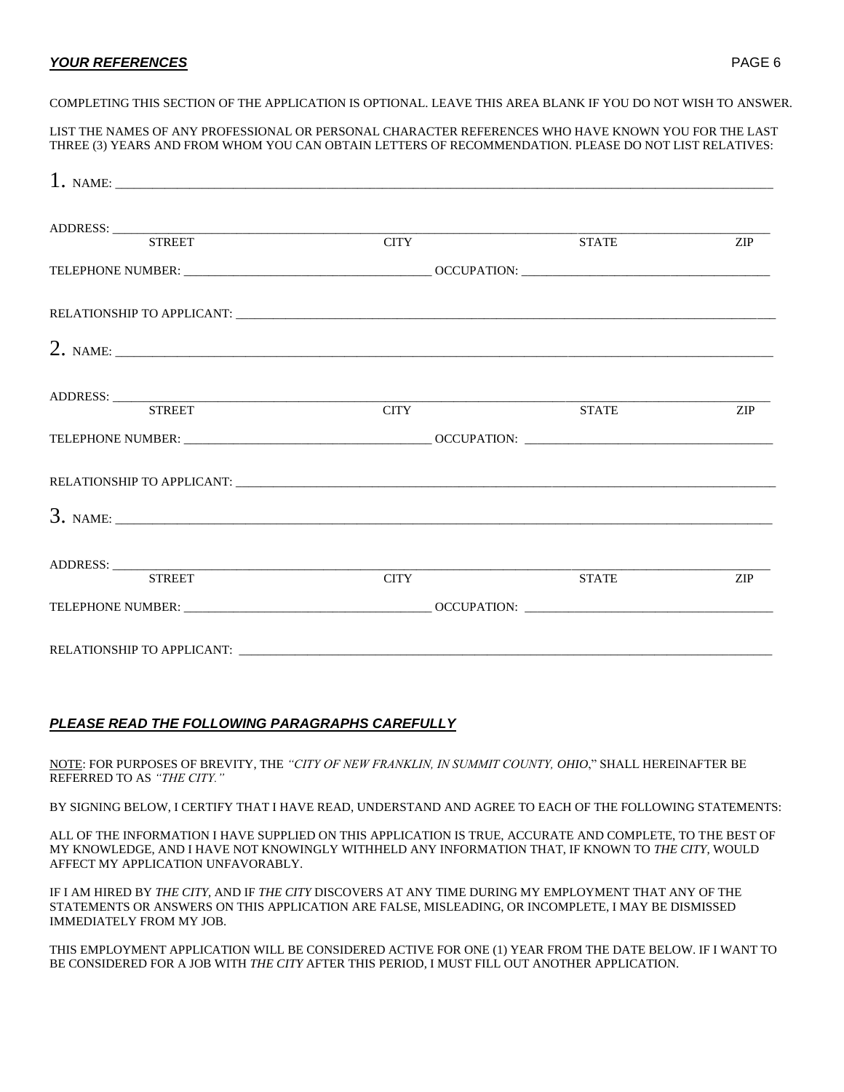#### *YOUR REFERENCES* PAGE 6

#### COMPLETING THIS SECTION OF THE APPLICATION IS OPTIONAL. LEAVE THIS AREA BLANK IF YOU DO NOT WISH TO ANSWER.

LIST THE NAMES OF ANY PROFESSIONAL OR PERSONAL CHARACTER REFERENCES WHO HAVE KNOWN YOU FOR THE LAST THREE (3) YEARS AND FROM WHOM YOU CAN OBTAIN LETTERS OF RECOMMENDATION. PLEASE DO NOT LIST RELATIVES:

| ADDRESS: <u>STREET</u> CITY       | <b>CITY</b>       | <b>STATE</b> | ZIP |
|-----------------------------------|-------------------|--------------|-----|
|                                   |                   |              |     |
|                                   |                   |              |     |
| 2. NAME: $\overline{\phantom{a}}$ |                   |              |     |
| ADDRESS: STREET CITY              |                   |              |     |
|                                   | $\overline{CITY}$ | <b>STATE</b> | ZIP |
|                                   |                   |              |     |
|                                   |                   |              |     |
|                                   |                   |              |     |
|                                   |                   |              |     |
|                                   | <b>CITY</b>       | <b>STATE</b> | ZIP |
|                                   |                   |              |     |
|                                   |                   |              |     |

#### *PLEASE READ THE FOLLOWING PARAGRAPHS CAREFULLY*

NOTE: FOR PURPOSES OF BREVITY, THE *"CITY OF NEW FRANKLIN, IN SUMMIT COUNTY, OHIO*," SHALL HEREINAFTER BE REFERRED TO AS *"THE CITY."*

BY SIGNING BELOW, I CERTIFY THAT I HAVE READ, UNDERSTAND AND AGREE TO EACH OF THE FOLLOWING STATEMENTS:

ALL OF THE INFORMATION I HAVE SUPPLIED ON THIS APPLICATION IS TRUE, ACCURATE AND COMPLETE, TO THE BEST OF MY KNOWLEDGE, AND I HAVE NOT KNOWINGLY WITHHELD ANY INFORMATION THAT, IF KNOWN TO *THE CITY*, WOULD AFFECT MY APPLICATION UNFAVORABLY.

IF I AM HIRED BY *THE CITY*, AND IF *THE CITY* DISCOVERS AT ANY TIME DURING MY EMPLOYMENT THAT ANY OF THE STATEMENTS OR ANSWERS ON THIS APPLICATION ARE FALSE, MISLEADING, OR INCOMPLETE, I MAY BE DISMISSED IMMEDIATELY FROM MY JOB.

THIS EMPLOYMENT APPLICATION WILL BE CONSIDERED ACTIVE FOR ONE (1) YEAR FROM THE DATE BELOW. IF I WANT TO BE CONSIDERED FOR A JOB WITH *THE CITY* AFTER THIS PERIOD, I MUST FILL OUT ANOTHER APPLICATION.